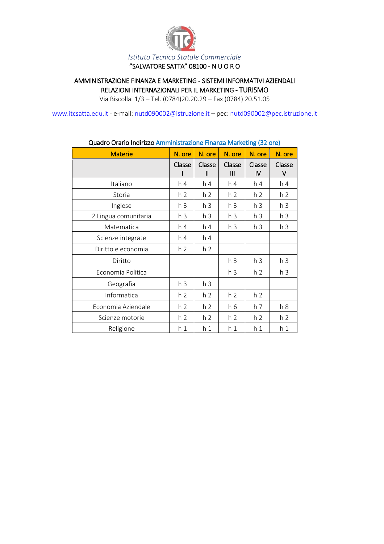

#### AMMINISTRAZIONE FINANZA E MARKETING - SISTEMI INFORMATIVI AZIENDALI RELAZIONI INTERNAZIONALI PER IL MARKETING - TURISMO

Via Biscollai 1/3 – Tel. (0784)20.20.29 – Fax (0784) 20.51.05

[www.itcsatta.edu.it](http://www.itcsatta.edu.it/) - e-mail[: nutd090002@istruzione.it](mailto:nutd090002@istruzione.it) – pec: [nutd090002@pec.istruzione.it](mailto:nutd090002@pec.istruzione.it)

| Quadro Orano munizzo Aniministrazione i munza ividiketing (92 ore) |                |                        |                          |                |                |
|--------------------------------------------------------------------|----------------|------------------------|--------------------------|----------------|----------------|
| <b>Materie</b>                                                     | N. ore         | N. ore                 | N. ore                   | N. ore         | N. ore         |
|                                                                    | Classe         | Classe<br>$\mathsf{I}$ | Classe<br>$\mathbf{III}$ | Classe<br>IV   | Classe<br>٧    |
| Italiano                                                           | h 4            | h 4                    | h <sub>4</sub>           | h 4            | h <sub>4</sub> |
| Storia                                                             | h <sub>2</sub> | h <sub>2</sub>         | h <sub>2</sub>           | h <sub>2</sub> | h <sub>2</sub> |
| Inglese                                                            | h <sub>3</sub> | h <sub>3</sub>         | h <sub>3</sub>           | h <sub>3</sub> | h <sub>3</sub> |
| 2 Lingua comunitaria                                               | h 3            | h 3                    | h <sub>3</sub>           | h 3            | h <sub>3</sub> |
| Matematica                                                         | h 4            | h <sub>4</sub>         | h <sub>3</sub>           | h 3            | h <sub>3</sub> |
| Scienze integrate                                                  | h 4            | h 4                    |                          |                |                |
| Diritto e economia                                                 | h <sub>2</sub> | h <sub>2</sub>         |                          |                |                |
| Diritto                                                            |                |                        | h <sub>3</sub>           | h <sub>3</sub> | h <sub>3</sub> |
| Economia Politica                                                  |                |                        | h <sub>3</sub>           | h <sub>2</sub> | h <sub>3</sub> |
| Geografia                                                          | h <sub>3</sub> | h <sub>3</sub>         |                          |                |                |
| Informatica                                                        | h <sub>2</sub> | h <sub>2</sub>         | h <sub>2</sub>           | h <sub>2</sub> |                |
| Economia Aziendale                                                 | h <sub>2</sub> | h <sub>2</sub>         | h 6                      | h <sub>7</sub> | h8             |
| Scienze motorie                                                    | h <sub>2</sub> | h <sub>2</sub>         | h <sub>2</sub>           | h <sub>2</sub> | h <sub>2</sub> |
| Religione                                                          | h 1            | h <sub>1</sub>         | h <sub>1</sub>           | h 1            | h <sub>1</sub> |

#### Quadro Orario Indirizzo Amministrazione Finanza Marketing (32 ore)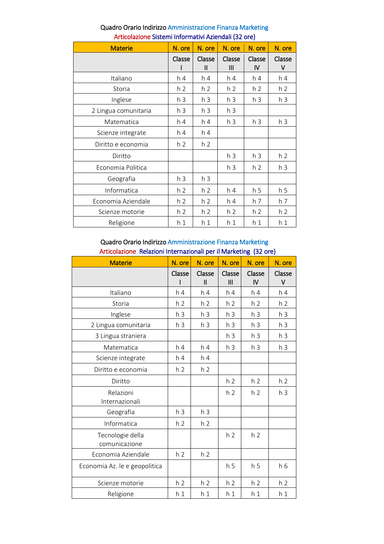| <b>Materie</b>       | N. ore         | N. ore                 | N. ore         | N. ore         | N. ore         |
|----------------------|----------------|------------------------|----------------|----------------|----------------|
|                      | Classe         | Classe<br>$\mathbf{I}$ | Classe<br>Ш    | Classe<br>IV   | Classe<br>v    |
| Italiano             | h <sub>4</sub> | h <sub>4</sub>         | h <sub>4</sub> | h <sub>4</sub> | h <sub>4</sub> |
| Storia               | h 2            | h <sub>2</sub>         | h <sub>2</sub> | h <sub>2</sub> | h <sub>2</sub> |
| Inglese              | h <sub>3</sub> | h <sub>3</sub>         | h <sub>3</sub> | h <sub>3</sub> | h <sub>3</sub> |
| 2 Lingua comunitaria | h <sub>3</sub> | h <sub>3</sub>         | h <sub>3</sub> |                |                |
| Matematica           | h <sub>4</sub> | h 4                    | h <sub>3</sub> | h <sub>3</sub> | h <sub>3</sub> |
| Scienze integrate    | h 4            | h <sub>4</sub>         |                |                |                |
| Diritto e economia   | h <sub>2</sub> | h <sub>2</sub>         |                |                |                |
| Diritto              |                |                        | h <sub>3</sub> | h <sub>3</sub> | h <sub>2</sub> |
| Economia Politica    |                |                        | h <sub>3</sub> | h <sub>2</sub> | h 3            |
| Geografia            | h <sub>3</sub> | h <sub>3</sub>         |                |                |                |
| Informatica          | h <sub>2</sub> | h <sub>2</sub>         | h <sub>4</sub> | h <sub>5</sub> | h <sub>5</sub> |
| Economia Aziendale   | h <sub>2</sub> | h <sub>2</sub>         | h 4            | h <sub>7</sub> | h <sub>7</sub> |
| Scienze motorie      | h <sub>2</sub> | h <sub>2</sub>         | h <sub>2</sub> | h <sub>2</sub> | h <sub>2</sub> |
| Religione            | h <sub>1</sub> | h <sub>1</sub>         | h <sub>1</sub> | h <sub>1</sub> | h <sub>1</sub> |

# Quadro Orario Indirizzo Amministrazione Finanza Marketing Articolazione Sistemi Informativi Aziendali (32 ore)

### Quadro Orario Indirizzo Amministrazione Finanza Marketing Articolazione Relazioni Internazionali per il Marketing (32 ore)

| <b>Materie</b>                    | N. ore         | N. ore                  | N. ore         | N. ore         | N. ore         |
|-----------------------------------|----------------|-------------------------|----------------|----------------|----------------|
|                                   | Classe         | Classe<br>$\mathsf{II}$ | Classe<br>III  | Classe<br>IV   | Classe<br>۷    |
| Italiano                          | h <sub>4</sub> | h <sub>4</sub>          | h 4            | h <sub>4</sub> | h <sub>4</sub> |
| Storia                            | h 2            | h <sub>2</sub>          | h 2            | h <sub>2</sub> | h <sub>2</sub> |
| Inglese                           | h <sub>3</sub> | h <sub>3</sub>          | h <sub>3</sub> | h <sub>3</sub> | h <sub>3</sub> |
| 2 Lingua comunitaria              | h <sub>3</sub> | h <sub>3</sub>          | h <sub>3</sub> | h <sub>3</sub> | h <sub>3</sub> |
| 3 Lingua straniera                |                |                         | h <sub>3</sub> | h <sub>3</sub> | h <sub>3</sub> |
| Matematica                        | h 4            | h <sub>4</sub>          | h <sub>3</sub> | h <sub>3</sub> | h <sub>3</sub> |
| Scienze integrate                 | h <sub>4</sub> | h <sub>4</sub>          |                |                |                |
| Diritto e economia                | h <sub>2</sub> | h <sub>2</sub>          |                |                |                |
| Diritto                           |                |                         | h <sub>2</sub> | h <sub>2</sub> | h <sub>2</sub> |
| Relazioni<br>Internazionali       |                |                         | h <sub>2</sub> | h <sub>2</sub> | h <sub>3</sub> |
| Geografia                         | h <sub>3</sub> | h <sub>3</sub>          |                |                |                |
| Informatica                       | h <sub>2</sub> | h <sub>2</sub>          |                |                |                |
| Tecnologie della<br>comunicazione |                |                         | h <sub>2</sub> | h <sub>2</sub> |                |
| Economia Aziendale                | h <sub>2</sub> | h <sub>2</sub>          |                |                |                |
| Economia Az. le e geopolitica     |                |                         | h <sub>5</sub> | h <sub>5</sub> | h 6            |
| Scienze motorie                   | h <sub>2</sub> | h <sub>2</sub>          | h <sub>2</sub> | h <sub>2</sub> | h <sub>2</sub> |
| Religione                         | h <sub>1</sub> | h <sub>1</sub>          | h <sub>1</sub> | h <sub>1</sub> | h <sub>1</sub> |